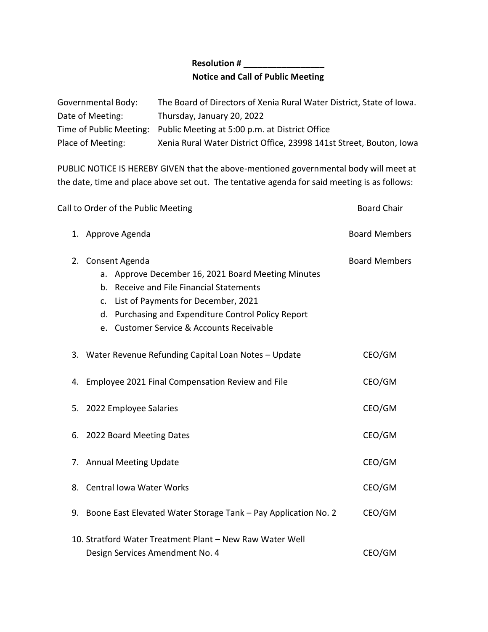## **Resolution # \_\_\_\_\_\_\_\_\_\_\_\_\_\_\_\_\_ Notice and Call of Public Meeting**

| Governmental Body: | The Board of Directors of Xenia Rural Water District, State of Iowa.   |
|--------------------|------------------------------------------------------------------------|
| Date of Meeting:   | Thursday, January 20, 2022                                             |
|                    | Time of Public Meeting: Public Meeting at 5:00 p.m. at District Office |
| Place of Meeting:  | Xenia Rural Water District Office, 23998 141st Street, Bouton, Iowa    |

PUBLIC NOTICE IS HEREBY GIVEN that the above-mentioned governmental body will meet at the date, time and place above set out. The tentative agenda for said meeting is as follows:

| Call to Order of the Public Meeting                                                                                                                                                                                                                                  | <b>Board Chair</b>   |
|----------------------------------------------------------------------------------------------------------------------------------------------------------------------------------------------------------------------------------------------------------------------|----------------------|
| 1. Approve Agenda                                                                                                                                                                                                                                                    | <b>Board Members</b> |
| 2. Consent Agenda<br>a. Approve December 16, 2021 Board Meeting Minutes<br>b. Receive and File Financial Statements<br>List of Payments for December, 2021<br>c.<br>d. Purchasing and Expenditure Control Policy Report<br>e. Customer Service & Accounts Receivable | <b>Board Members</b> |
| 3. Water Revenue Refunding Capital Loan Notes - Update                                                                                                                                                                                                               | CEO/GM               |
| 4. Employee 2021 Final Compensation Review and File                                                                                                                                                                                                                  | CEO/GM               |
| 5. 2022 Employee Salaries                                                                                                                                                                                                                                            | CEO/GM               |
| 6. 2022 Board Meeting Dates                                                                                                                                                                                                                                          | CEO/GM               |
| 7. Annual Meeting Update                                                                                                                                                                                                                                             | CEO/GM               |
| 8. Central Iowa Water Works                                                                                                                                                                                                                                          | CEO/GM               |
| 9. Boone East Elevated Water Storage Tank - Pay Application No. 2                                                                                                                                                                                                    | CEO/GM               |
| 10. Stratford Water Treatment Plant - New Raw Water Well<br>Design Services Amendment No. 4                                                                                                                                                                          | CEO/GM               |
|                                                                                                                                                                                                                                                                      |                      |